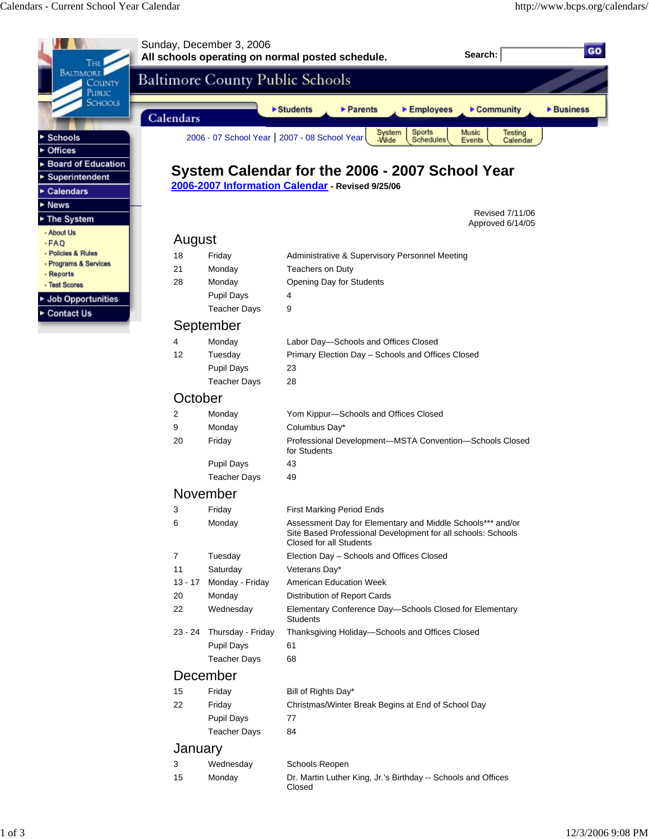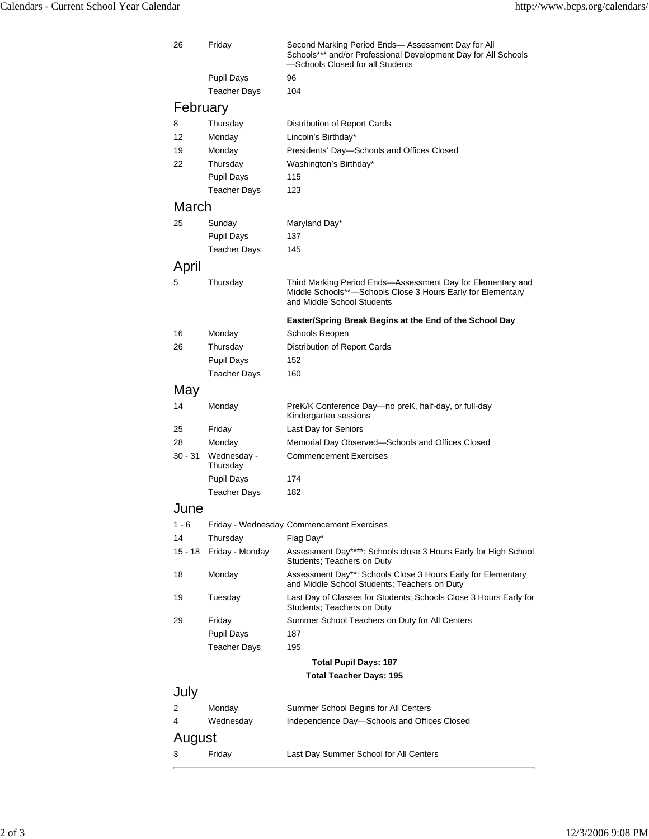| <b>Pupil Days</b><br>96<br><b>Teacher Days</b><br>104<br>February<br>Thursday<br>Distribution of Report Cards<br>8<br>Monday<br>Lincoln's Birthday*<br>12<br>19<br>Monday<br>Presidents' Day-Schools and Offices Closed<br>Thursday<br>Washington's Birthday*<br>22<br><b>Pupil Days</b><br>115<br><b>Teacher Days</b><br>123<br>March<br>25<br>Sunday<br>Maryland Day*<br><b>Pupil Days</b><br>137<br><b>Teacher Days</b><br>145<br>April<br>Thursday<br>Third Marking Period Ends-Assessment Day for Elementary and<br>5<br>Middle Schools**-Schools Close 3 Hours Early for Elementary<br>and Middle School Students<br>Easter/Spring Break Begins at the End of the School Day<br>Monday<br>Schools Reopen<br>16<br>Thursday<br>26<br>Distribution of Report Cards<br><b>Pupil Days</b><br>152<br><b>Teacher Days</b><br>160<br>May<br>Monday<br>PreK/K Conference Day-no preK, half-day, or full-day<br>14<br>Kindergarten sessions<br>Last Day for Seniors<br>25<br>Friday<br>28<br>Monday<br>Memorial Day Observed-Schools and Offices Closed<br>30 - 31<br>Wednesday -<br><b>Commencement Exercises</b><br>Thursday<br><b>Pupil Days</b><br>174<br><b>Teacher Days</b><br>182<br>June<br>$1 - 6$<br>Friday - Wednesday Commencement Exercises<br>14<br>Thursday<br>Flag Day*<br>$15 - 18$<br>Friday - Monday<br>Assessment Day****: Schools close 3 Hours Early for High School<br>Students; Teachers on Duty<br>Monday<br>Assessment Day**: Schools Close 3 Hours Early for Elementary<br>18<br>and Middle School Students; Teachers on Duty<br>Tuesday<br>Last Day of Classes for Students; Schools Close 3 Hours Early for<br>19<br>Students: Teachers on Duty<br>29<br>Friday<br>Summer School Teachers on Duty for All Centers<br><b>Pupil Days</b><br>187<br><b>Teacher Days</b><br>195<br><b>Total Pupil Days: 187</b><br><b>Total Teacher Days: 195</b><br>July<br>Monday<br>Summer School Begins for All Centers<br>2<br>Wednesday<br>Independence Day-Schools and Offices Closed<br>4<br>August<br>Friday<br>Last Day Summer School for All Centers<br>3 | 26 | Friday | Second Marking Period Ends- Assessment Day for All<br>Schools*** and/or Professional Development Day for All Schools<br>-Schools Closed for all Students |  |
|----------------------------------------------------------------------------------------------------------------------------------------------------------------------------------------------------------------------------------------------------------------------------------------------------------------------------------------------------------------------------------------------------------------------------------------------------------------------------------------------------------------------------------------------------------------------------------------------------------------------------------------------------------------------------------------------------------------------------------------------------------------------------------------------------------------------------------------------------------------------------------------------------------------------------------------------------------------------------------------------------------------------------------------------------------------------------------------------------------------------------------------------------------------------------------------------------------------------------------------------------------------------------------------------------------------------------------------------------------------------------------------------------------------------------------------------------------------------------------------------------------------------------------------------------------------------------------------------------------------------------------------------------------------------------------------------------------------------------------------------------------------------------------------------------------------------------------------------------------------------------------------------------------------------------------------------------------------------------------------------------------------------------------------------------------------------------|----|--------|----------------------------------------------------------------------------------------------------------------------------------------------------------|--|
|                                                                                                                                                                                                                                                                                                                                                                                                                                                                                                                                                                                                                                                                                                                                                                                                                                                                                                                                                                                                                                                                                                                                                                                                                                                                                                                                                                                                                                                                                                                                                                                                                                                                                                                                                                                                                                                                                                                                                                                                                                                                            |    |        |                                                                                                                                                          |  |
|                                                                                                                                                                                                                                                                                                                                                                                                                                                                                                                                                                                                                                                                                                                                                                                                                                                                                                                                                                                                                                                                                                                                                                                                                                                                                                                                                                                                                                                                                                                                                                                                                                                                                                                                                                                                                                                                                                                                                                                                                                                                            |    |        |                                                                                                                                                          |  |
|                                                                                                                                                                                                                                                                                                                                                                                                                                                                                                                                                                                                                                                                                                                                                                                                                                                                                                                                                                                                                                                                                                                                                                                                                                                                                                                                                                                                                                                                                                                                                                                                                                                                                                                                                                                                                                                                                                                                                                                                                                                                            |    |        |                                                                                                                                                          |  |
|                                                                                                                                                                                                                                                                                                                                                                                                                                                                                                                                                                                                                                                                                                                                                                                                                                                                                                                                                                                                                                                                                                                                                                                                                                                                                                                                                                                                                                                                                                                                                                                                                                                                                                                                                                                                                                                                                                                                                                                                                                                                            |    |        |                                                                                                                                                          |  |
|                                                                                                                                                                                                                                                                                                                                                                                                                                                                                                                                                                                                                                                                                                                                                                                                                                                                                                                                                                                                                                                                                                                                                                                                                                                                                                                                                                                                                                                                                                                                                                                                                                                                                                                                                                                                                                                                                                                                                                                                                                                                            |    |        |                                                                                                                                                          |  |
|                                                                                                                                                                                                                                                                                                                                                                                                                                                                                                                                                                                                                                                                                                                                                                                                                                                                                                                                                                                                                                                                                                                                                                                                                                                                                                                                                                                                                                                                                                                                                                                                                                                                                                                                                                                                                                                                                                                                                                                                                                                                            |    |        |                                                                                                                                                          |  |
|                                                                                                                                                                                                                                                                                                                                                                                                                                                                                                                                                                                                                                                                                                                                                                                                                                                                                                                                                                                                                                                                                                                                                                                                                                                                                                                                                                                                                                                                                                                                                                                                                                                                                                                                                                                                                                                                                                                                                                                                                                                                            |    |        |                                                                                                                                                          |  |
|                                                                                                                                                                                                                                                                                                                                                                                                                                                                                                                                                                                                                                                                                                                                                                                                                                                                                                                                                                                                                                                                                                                                                                                                                                                                                                                                                                                                                                                                                                                                                                                                                                                                                                                                                                                                                                                                                                                                                                                                                                                                            |    |        |                                                                                                                                                          |  |
|                                                                                                                                                                                                                                                                                                                                                                                                                                                                                                                                                                                                                                                                                                                                                                                                                                                                                                                                                                                                                                                                                                                                                                                                                                                                                                                                                                                                                                                                                                                                                                                                                                                                                                                                                                                                                                                                                                                                                                                                                                                                            |    |        |                                                                                                                                                          |  |
|                                                                                                                                                                                                                                                                                                                                                                                                                                                                                                                                                                                                                                                                                                                                                                                                                                                                                                                                                                                                                                                                                                                                                                                                                                                                                                                                                                                                                                                                                                                                                                                                                                                                                                                                                                                                                                                                                                                                                                                                                                                                            |    |        |                                                                                                                                                          |  |
|                                                                                                                                                                                                                                                                                                                                                                                                                                                                                                                                                                                                                                                                                                                                                                                                                                                                                                                                                                                                                                                                                                                                                                                                                                                                                                                                                                                                                                                                                                                                                                                                                                                                                                                                                                                                                                                                                                                                                                                                                                                                            |    |        |                                                                                                                                                          |  |
|                                                                                                                                                                                                                                                                                                                                                                                                                                                                                                                                                                                                                                                                                                                                                                                                                                                                                                                                                                                                                                                                                                                                                                                                                                                                                                                                                                                                                                                                                                                                                                                                                                                                                                                                                                                                                                                                                                                                                                                                                                                                            |    |        |                                                                                                                                                          |  |
|                                                                                                                                                                                                                                                                                                                                                                                                                                                                                                                                                                                                                                                                                                                                                                                                                                                                                                                                                                                                                                                                                                                                                                                                                                                                                                                                                                                                                                                                                                                                                                                                                                                                                                                                                                                                                                                                                                                                                                                                                                                                            |    |        |                                                                                                                                                          |  |
|                                                                                                                                                                                                                                                                                                                                                                                                                                                                                                                                                                                                                                                                                                                                                                                                                                                                                                                                                                                                                                                                                                                                                                                                                                                                                                                                                                                                                                                                                                                                                                                                                                                                                                                                                                                                                                                                                                                                                                                                                                                                            |    |        |                                                                                                                                                          |  |
|                                                                                                                                                                                                                                                                                                                                                                                                                                                                                                                                                                                                                                                                                                                                                                                                                                                                                                                                                                                                                                                                                                                                                                                                                                                                                                                                                                                                                                                                                                                                                                                                                                                                                                                                                                                                                                                                                                                                                                                                                                                                            |    |        |                                                                                                                                                          |  |
|                                                                                                                                                                                                                                                                                                                                                                                                                                                                                                                                                                                                                                                                                                                                                                                                                                                                                                                                                                                                                                                                                                                                                                                                                                                                                                                                                                                                                                                                                                                                                                                                                                                                                                                                                                                                                                                                                                                                                                                                                                                                            |    |        |                                                                                                                                                          |  |
|                                                                                                                                                                                                                                                                                                                                                                                                                                                                                                                                                                                                                                                                                                                                                                                                                                                                                                                                                                                                                                                                                                                                                                                                                                                                                                                                                                                                                                                                                                                                                                                                                                                                                                                                                                                                                                                                                                                                                                                                                                                                            |    |        |                                                                                                                                                          |  |
|                                                                                                                                                                                                                                                                                                                                                                                                                                                                                                                                                                                                                                                                                                                                                                                                                                                                                                                                                                                                                                                                                                                                                                                                                                                                                                                                                                                                                                                                                                                                                                                                                                                                                                                                                                                                                                                                                                                                                                                                                                                                            |    |        |                                                                                                                                                          |  |
|                                                                                                                                                                                                                                                                                                                                                                                                                                                                                                                                                                                                                                                                                                                                                                                                                                                                                                                                                                                                                                                                                                                                                                                                                                                                                                                                                                                                                                                                                                                                                                                                                                                                                                                                                                                                                                                                                                                                                                                                                                                                            |    |        |                                                                                                                                                          |  |
|                                                                                                                                                                                                                                                                                                                                                                                                                                                                                                                                                                                                                                                                                                                                                                                                                                                                                                                                                                                                                                                                                                                                                                                                                                                                                                                                                                                                                                                                                                                                                                                                                                                                                                                                                                                                                                                                                                                                                                                                                                                                            |    |        |                                                                                                                                                          |  |
|                                                                                                                                                                                                                                                                                                                                                                                                                                                                                                                                                                                                                                                                                                                                                                                                                                                                                                                                                                                                                                                                                                                                                                                                                                                                                                                                                                                                                                                                                                                                                                                                                                                                                                                                                                                                                                                                                                                                                                                                                                                                            |    |        |                                                                                                                                                          |  |
|                                                                                                                                                                                                                                                                                                                                                                                                                                                                                                                                                                                                                                                                                                                                                                                                                                                                                                                                                                                                                                                                                                                                                                                                                                                                                                                                                                                                                                                                                                                                                                                                                                                                                                                                                                                                                                                                                                                                                                                                                                                                            |    |        |                                                                                                                                                          |  |
|                                                                                                                                                                                                                                                                                                                                                                                                                                                                                                                                                                                                                                                                                                                                                                                                                                                                                                                                                                                                                                                                                                                                                                                                                                                                                                                                                                                                                                                                                                                                                                                                                                                                                                                                                                                                                                                                                                                                                                                                                                                                            |    |        |                                                                                                                                                          |  |
|                                                                                                                                                                                                                                                                                                                                                                                                                                                                                                                                                                                                                                                                                                                                                                                                                                                                                                                                                                                                                                                                                                                                                                                                                                                                                                                                                                                                                                                                                                                                                                                                                                                                                                                                                                                                                                                                                                                                                                                                                                                                            |    |        |                                                                                                                                                          |  |
|                                                                                                                                                                                                                                                                                                                                                                                                                                                                                                                                                                                                                                                                                                                                                                                                                                                                                                                                                                                                                                                                                                                                                                                                                                                                                                                                                                                                                                                                                                                                                                                                                                                                                                                                                                                                                                                                                                                                                                                                                                                                            |    |        |                                                                                                                                                          |  |
|                                                                                                                                                                                                                                                                                                                                                                                                                                                                                                                                                                                                                                                                                                                                                                                                                                                                                                                                                                                                                                                                                                                                                                                                                                                                                                                                                                                                                                                                                                                                                                                                                                                                                                                                                                                                                                                                                                                                                                                                                                                                            |    |        |                                                                                                                                                          |  |
|                                                                                                                                                                                                                                                                                                                                                                                                                                                                                                                                                                                                                                                                                                                                                                                                                                                                                                                                                                                                                                                                                                                                                                                                                                                                                                                                                                                                                                                                                                                                                                                                                                                                                                                                                                                                                                                                                                                                                                                                                                                                            |    |        |                                                                                                                                                          |  |
|                                                                                                                                                                                                                                                                                                                                                                                                                                                                                                                                                                                                                                                                                                                                                                                                                                                                                                                                                                                                                                                                                                                                                                                                                                                                                                                                                                                                                                                                                                                                                                                                                                                                                                                                                                                                                                                                                                                                                                                                                                                                            |    |        |                                                                                                                                                          |  |
|                                                                                                                                                                                                                                                                                                                                                                                                                                                                                                                                                                                                                                                                                                                                                                                                                                                                                                                                                                                                                                                                                                                                                                                                                                                                                                                                                                                                                                                                                                                                                                                                                                                                                                                                                                                                                                                                                                                                                                                                                                                                            |    |        |                                                                                                                                                          |  |
|                                                                                                                                                                                                                                                                                                                                                                                                                                                                                                                                                                                                                                                                                                                                                                                                                                                                                                                                                                                                                                                                                                                                                                                                                                                                                                                                                                                                                                                                                                                                                                                                                                                                                                                                                                                                                                                                                                                                                                                                                                                                            |    |        |                                                                                                                                                          |  |
|                                                                                                                                                                                                                                                                                                                                                                                                                                                                                                                                                                                                                                                                                                                                                                                                                                                                                                                                                                                                                                                                                                                                                                                                                                                                                                                                                                                                                                                                                                                                                                                                                                                                                                                                                                                                                                                                                                                                                                                                                                                                            |    |        |                                                                                                                                                          |  |
|                                                                                                                                                                                                                                                                                                                                                                                                                                                                                                                                                                                                                                                                                                                                                                                                                                                                                                                                                                                                                                                                                                                                                                                                                                                                                                                                                                                                                                                                                                                                                                                                                                                                                                                                                                                                                                                                                                                                                                                                                                                                            |    |        |                                                                                                                                                          |  |
|                                                                                                                                                                                                                                                                                                                                                                                                                                                                                                                                                                                                                                                                                                                                                                                                                                                                                                                                                                                                                                                                                                                                                                                                                                                                                                                                                                                                                                                                                                                                                                                                                                                                                                                                                                                                                                                                                                                                                                                                                                                                            |    |        |                                                                                                                                                          |  |
|                                                                                                                                                                                                                                                                                                                                                                                                                                                                                                                                                                                                                                                                                                                                                                                                                                                                                                                                                                                                                                                                                                                                                                                                                                                                                                                                                                                                                                                                                                                                                                                                                                                                                                                                                                                                                                                                                                                                                                                                                                                                            |    |        |                                                                                                                                                          |  |
|                                                                                                                                                                                                                                                                                                                                                                                                                                                                                                                                                                                                                                                                                                                                                                                                                                                                                                                                                                                                                                                                                                                                                                                                                                                                                                                                                                                                                                                                                                                                                                                                                                                                                                                                                                                                                                                                                                                                                                                                                                                                            |    |        |                                                                                                                                                          |  |
|                                                                                                                                                                                                                                                                                                                                                                                                                                                                                                                                                                                                                                                                                                                                                                                                                                                                                                                                                                                                                                                                                                                                                                                                                                                                                                                                                                                                                                                                                                                                                                                                                                                                                                                                                                                                                                                                                                                                                                                                                                                                            |    |        |                                                                                                                                                          |  |
|                                                                                                                                                                                                                                                                                                                                                                                                                                                                                                                                                                                                                                                                                                                                                                                                                                                                                                                                                                                                                                                                                                                                                                                                                                                                                                                                                                                                                                                                                                                                                                                                                                                                                                                                                                                                                                                                                                                                                                                                                                                                            |    |        |                                                                                                                                                          |  |
|                                                                                                                                                                                                                                                                                                                                                                                                                                                                                                                                                                                                                                                                                                                                                                                                                                                                                                                                                                                                                                                                                                                                                                                                                                                                                                                                                                                                                                                                                                                                                                                                                                                                                                                                                                                                                                                                                                                                                                                                                                                                            |    |        |                                                                                                                                                          |  |
|                                                                                                                                                                                                                                                                                                                                                                                                                                                                                                                                                                                                                                                                                                                                                                                                                                                                                                                                                                                                                                                                                                                                                                                                                                                                                                                                                                                                                                                                                                                                                                                                                                                                                                                                                                                                                                                                                                                                                                                                                                                                            |    |        |                                                                                                                                                          |  |
|                                                                                                                                                                                                                                                                                                                                                                                                                                                                                                                                                                                                                                                                                                                                                                                                                                                                                                                                                                                                                                                                                                                                                                                                                                                                                                                                                                                                                                                                                                                                                                                                                                                                                                                                                                                                                                                                                                                                                                                                                                                                            |    |        |                                                                                                                                                          |  |
|                                                                                                                                                                                                                                                                                                                                                                                                                                                                                                                                                                                                                                                                                                                                                                                                                                                                                                                                                                                                                                                                                                                                                                                                                                                                                                                                                                                                                                                                                                                                                                                                                                                                                                                                                                                                                                                                                                                                                                                                                                                                            |    |        |                                                                                                                                                          |  |
|                                                                                                                                                                                                                                                                                                                                                                                                                                                                                                                                                                                                                                                                                                                                                                                                                                                                                                                                                                                                                                                                                                                                                                                                                                                                                                                                                                                                                                                                                                                                                                                                                                                                                                                                                                                                                                                                                                                                                                                                                                                                            |    |        |                                                                                                                                                          |  |
|                                                                                                                                                                                                                                                                                                                                                                                                                                                                                                                                                                                                                                                                                                                                                                                                                                                                                                                                                                                                                                                                                                                                                                                                                                                                                                                                                                                                                                                                                                                                                                                                                                                                                                                                                                                                                                                                                                                                                                                                                                                                            |    |        |                                                                                                                                                          |  |